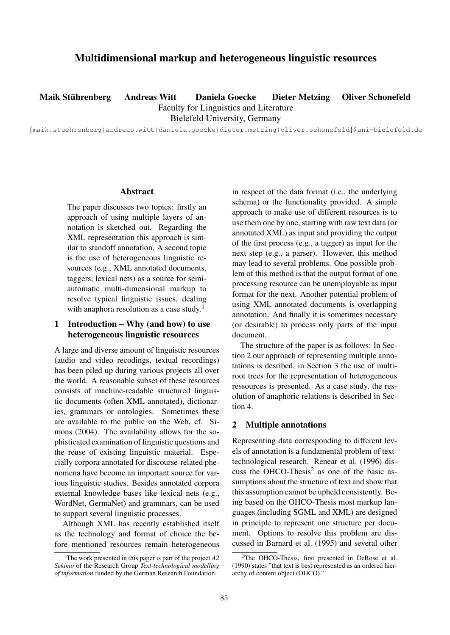# Multidimensional markup and heterogeneous linguistic resources

Maik Stuhrenberg Andreas Witt Daniela Goecke ¨ Faculty for Linguistics and Literature Dieter Metzing Oliver Schonefeld

Bielefeld University, Germany

{maik.stuehrenberg|andreas.witt|daniela.goecke|dieter.metzing|oliver.schonefeld}@uni-bielefeld.de

#### **Abstract**

The paper discusses two topics: firstly an approach of using multiple layers of annotation is sketched out. Regarding the XML representation this approach is similar to standoff annotation. A second topic is the use of heterogeneous linguistic resources (e.g., XML annotated documents, taggers, lexical nets) as a source for semiautomatic multi-dimensional markup to resolve typical linguistic issues, dealing with anaphora resolution as a case study.<sup>1</sup>

## 1 Introduction – Why (and how) to use heterogeneous linguistic resources

A large and diverse amount of linguistic resources (audio and video recodings, textual recordings) has been piled up during various projects all over the world. A reasonable subset of these resources consists of machine-readable structured linguistic documents (often XML annotated), dictionaries, grammars or ontologies. Sometimes these are available to the public on the Web, cf. Simons (2004). The availability allows for the sophisticated examination of linguistic questions and the reuse of existing linguistic material. Especially corpora annotated for discourse-related phenomena have become an important source for various linguistic studies. Besides annotated corpora external knowledge bases like lexical nets (e.g., WordNet, GermaNet) and grammars, can be used to support several linguistic processes.

Although XML has recently established itself as the technology and format of choice the before mentioned resources remain heterogeneous in respect of the data format (i.e., the underlying schema) or the functionality provided. A simple approach to make use of different resources is to use them one by one, starting with raw text data (or annotated XML) as input and providing the output of the first process (e.g., a tagger) as input for the next step (e.g., a parser). However, this method may lead to several problems. One possible problem of this method is that the output format of one processing resource can be unemployable as input format for the next. Another potential problem of using XML annotated documents is overlapping annotation. And finally it is sometimes necessary (or desirable) to process only parts of the input document.

The structure of the paper is as follows: In Section 2 our approach of representing multiple annotations is desribed, in Section 3 the use of multiroot trees for the representation of heterogeneous ressources is presented. As a case study, the resolution of anaphoric relations is described in Section 4.

### 2 Multiple annotations

Representing data corresponding to different levels of annotation is a fundamental problem of texttechnological research. Renear et al. (1996) discuss the OHCO-Thesis<sup>2</sup> as one of the basic assumptions about the structure of text and show that this assumption cannot be upheld consistently. Being based on the OHCO-Thesis most markup languages (including SGML and XML) are designed in principle to represent one structure per document. Options to resolve this problem are discussed in Barnard et al. (1995) and several other

<sup>&</sup>lt;sup>1</sup>The work presented in this paper is part of the project *A2 Sekimo* of the Research Group *Text-technological modelling of information* funded by the German Research Foundation.

<sup>&</sup>lt;sup>2</sup>The OHCO-Thesis, first presented in DeRose et al. (1990) states "that text is best represented as an ordered hierarchy of content object (OHCO)."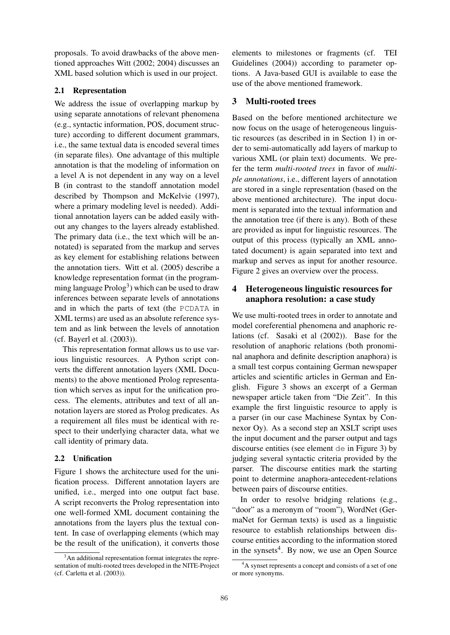proposals. To avoid drawbacks of the above mentioned approaches Witt (2002; 2004) discusses an XML based solution which is used in our project.

### 2.1 Representation

We address the issue of overlapping markup by using separate annotations of relevant phenomena (e.g., syntactic information, POS, document structure) according to different document grammars, i.e., the same textual data is encoded several times (in separate files). One advantage of this multiple annotation is that the modeling of information on a level A is not dependent in any way on a level B (in contrast to the standoff annotation model described by Thompson and McKelvie (1997), where a primary modeling level is needed). Additional annotation layers can be added easily without any changes to the layers already established. The primary data (i.e., the text which will be annotated) is separated from the markup and serves as key element for establishing relations between the annotation tiers. Witt et al. (2005) describe a knowledge representation format (in the programming language  $\text{Prolog}^3$ ) which can be used to draw inferences between separate levels of annotations and in which the parts of text (the PCDATA in XML terms) are used as an absolute reference system and as link between the levels of annotation (cf. Bayerl et al. (2003)).

This representation format allows us to use various linguistic resources. A Python script converts the different annotation layers (XML Documents) to the above mentioned Prolog representation which serves as input for the unification process. The elements, attributes and text of all annotation layers are stored as Prolog predicates. As a requirement all files must be identical with respect to their underlying character data, what we call identity of primary data.

#### 2.2 Unification

Figure 1 shows the architecture used for the unification process. Different annotation layers are unified, i.e., merged into one output fact base. A script reconverts the Prolog representation into one well-formed XML document containing the annotations from the layers plus the textual content. In case of overlapping elements (which may be the result of the unification), it converts those

elements to milestones or fragments (cf. TEI Guidelines (2004)) according to parameter options. A Java-based GUI is available to ease the use of the above mentioned framework.

### 3 Multi-rooted trees

Based on the before mentioned architecture we now focus on the usage of heterogeneous linguistic resources (as described in in Section 1) in order to semi-automatically add layers of markup to various XML (or plain text) documents. We prefer the term *multi-rooted trees* in favor of *multiple annotations*, i.e., different layers of annotation are stored in a single representation (based on the above mentioned architecture). The input document is separated into the textual information and the annotation tree (if there is any). Both of these are provided as input for linguistic resources. The output of this process (typically an XML annotated document) is again separated into text and markup and serves as input for another resource. Figure 2 gives an overview over the process.

## 4 Heterogeneous linguistic resources for anaphora resolution: a case study

We use multi-rooted trees in order to annotate and model coreferential phenomena and anaphoric relations (cf. Sasaki et al (2002)). Base for the resolution of anaphoric relations (both pronominal anaphora and definite description anaphora) is a small test corpus containing German newspaper articles and scientific articles in German and English. Figure 3 shows an excerpt of a German newspaper article taken from "Die Zeit". In this example the first linguistic resource to apply is a parser (in our case Machinese Syntax by Connexor Oy). As a second step an XSLT script uses the input document and the parser output and tags discourse entities (see element de in Figure 3) by judging several syntactic criteria provided by the parser. The discourse entities mark the starting point to determine anaphora-antecedent-relations between pairs of discourse entities.

In order to resolve bridging relations (e.g., "door" as a meronym of "room"), WordNet (GermaNet for German texts) is used as a linguistic resource to establish relationships between discourse entities according to the information stored in the synsets<sup>4</sup>. By now, we use an Open Source

 $3$ An additional representation format integrates the representation of multi-rooted trees developed in the NITE-Project (cf. Carletta et al. (2003)).

<sup>4</sup>A synset represents a concept and consists of a set of one or more synonyms.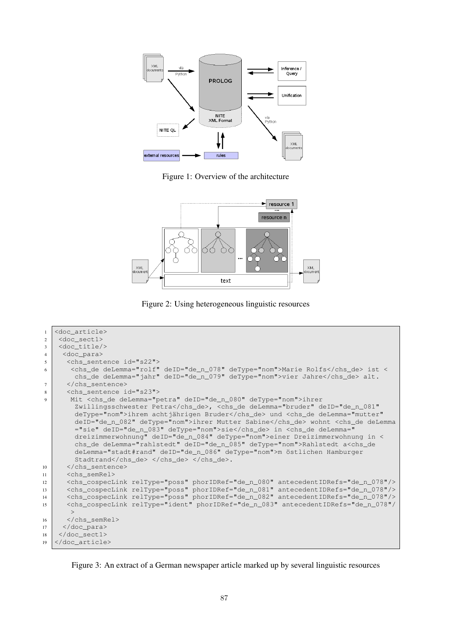

Figure 1: Overview of the architecture



Figure 2: Using heterogeneous linguistic resources

```
<doc_article>
\overline{1}<doc_sect1>
\overline{2}\overline{\mathbf{3}}<doc_title/>
     <doc_para>
\overline{A}<chs_sentence id="s22">
\overline{5}<chs_de deLemma="rolf" deID="de_n_078" deType="nom">Marie Rolfs</chs_de> ist <
6
         chs_de deLemma="jahr" deID="de_n_079" deType="nom">vier Jahre</chs_de> alt.
\overline{1}</chs_sentence>
       <chs_sentence id="s23">
\overline{8}Mit <chs_de deLemma="petra" deID="de_n_080" deType="nom">ihrer
\overline{c}Zwillingsschwester Petra</chs_de>, <chs_de deLemma="bruder" deID="de_n_081"
         deType="nom">ihrem achtjährigen Bruder</chs_de> und <chs_de deLemma="mutter"
         deID="de_n_082" deType="nom">ihrer Mutter Sabine</chs_de> wohnt <chs_de deLemma
         ="sie" deID="de_n_083" deType="nom">sie</chs_de> in <chs_de deLemma="
         dreizimmerwohnung" deID="de_n_084" deType="nom">einer Dreizimmerwohnung in <
         chs_de deLemma="rahlstedt" deID="de_n_085" deType="nom">Rahlstedt a<chs_de<br>deLemma="stadt#rand" deID="de_n_086" deType="nom">m östlichen Hamburger
         Stadtrand</chs de> </chs de> </chs de>.
10</chs_sentence>
       <chs_semRel>
11
       <chs_cospecLink relType="poss" phorIDRef="de_n_080" antecedentIDRefs="de_n_078"/>
12<chs_cospecLink relType="poss" phorIDRef="de_n_081" antecedentIDRefs="de_n_078"/>
13
       <chs_cospecLink relType="poss" phorIDRef="de_n_082" antecedentIDRefs="de_n_078"/>
14<chs_cospecLink relType="ident" phorIDRef="de_n_083" antecedentIDRefs="de_n_078"/
15\rightarrow</chs_semRel>
16</doc_para>
17
18
    </doc_sect1>
   </doc article>
19
```
Figure 3: An extract of a German newspaper article marked up by several linguistic resources